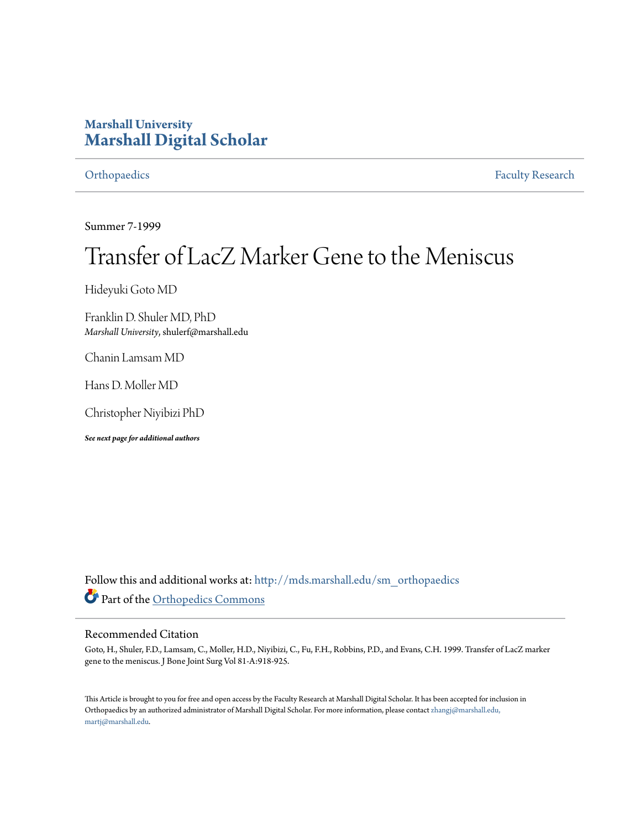## **Marshall University [Marshall Digital Scholar](http://mds.marshall.edu?utm_source=mds.marshall.edu%2Fsm_orthopaedics%2F21&utm_medium=PDF&utm_campaign=PDFCoverPages)**

[Orthopaedics](http://mds.marshall.edu/sm_orthopaedics?utm_source=mds.marshall.edu%2Fsm_orthopaedics%2F21&utm_medium=PDF&utm_campaign=PDFCoverPages) [Faculty Research](http://mds.marshall.edu/sm_faculty?utm_source=mds.marshall.edu%2Fsm_orthopaedics%2F21&utm_medium=PDF&utm_campaign=PDFCoverPages)

Summer 7-1999

# Transfer of LacZ Marker Gene to the Meniscus

Hideyuki Goto MD

Franklin D. Shuler MD, PhD *Marshall University*, shulerf@marshall.edu

Chanin Lamsam MD

Hans D. Moller MD

Christopher Niyibizi PhD

*See next page for additional authors*

Follow this and additional works at: [http://mds.marshall.edu/sm\\_orthopaedics](http://mds.marshall.edu/sm_orthopaedics?utm_source=mds.marshall.edu%2Fsm_orthopaedics%2F21&utm_medium=PDF&utm_campaign=PDFCoverPages) Part of the [Orthopedics Commons](http://network.bepress.com/hgg/discipline/696?utm_source=mds.marshall.edu%2Fsm_orthopaedics%2F21&utm_medium=PDF&utm_campaign=PDFCoverPages)

### Recommended Citation

Goto, H., Shuler, F.D., Lamsam, C., Moller, H.D., Niyibizi, C., Fu, F.H., Robbins, P.D., and Evans, C.H. 1999. Transfer of LacZ marker gene to the meniscus. J Bone Joint Surg Vol 81-A:918-925.

This Article is brought to you for free and open access by the Faculty Research at Marshall Digital Scholar. It has been accepted for inclusion in Orthopaedics by an authorized administrator of Marshall Digital Scholar. For more information, please contact [zhangj@marshall.edu,](mailto:zhangj@marshall.edu,%20martj@marshall.edu) [martj@marshall.edu](mailto:zhangj@marshall.edu,%20martj@marshall.edu).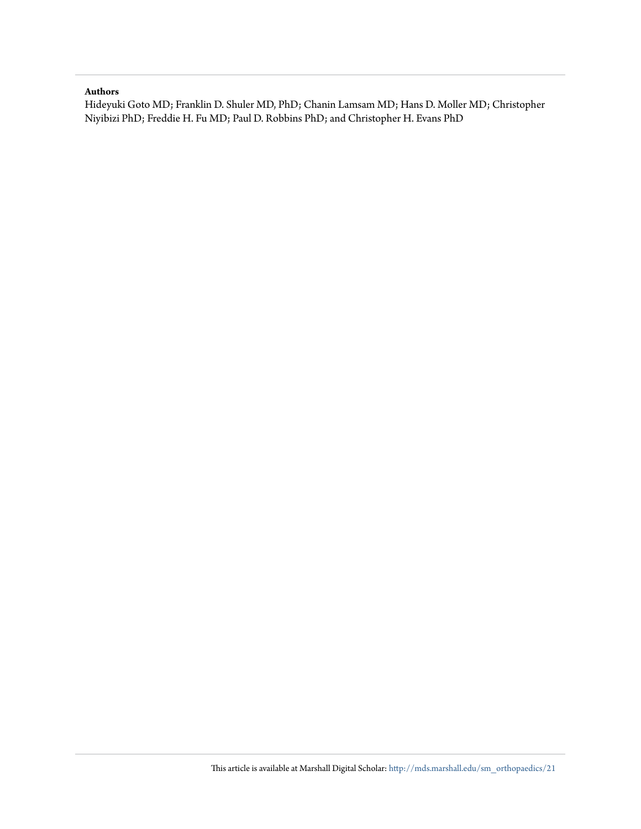#### **Authors**

Hideyuki Goto MD; Franklin D. Shuler MD, PhD; Chanin Lamsam MD; Hans D. Moller MD; Christopher Niyibizi PhD; Freddie H. Fu MD; Paul D. Robbins PhD; and Christopher H. Evans PhD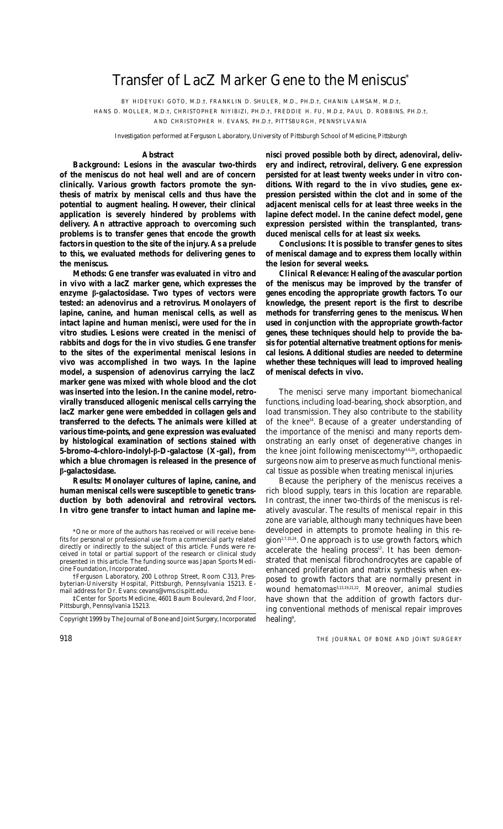# Transfer of LacZ Marker Gene to the Meniscus\*

BY HIDEYUKI GOTO, M.D.†, FRANKLIN D. SHULER, M.D., PH.D.†, CHANIN LAMSAM, M.D.†,

HANS D. MOLLER, M.D.†, CHRISTOPHER NIYIBIZI, PH.D.†, FREDDIE H. FU, M.D.‡, PAUL D. ROBBINS, PH.D.†, AND CHRISTOPHER H. EVANS, PH.D.†, PITTSBURGH, PENNSYLVANIA

*Investigation performed at Ferguson Laboratory, University of Pittsburgh School of Medicine, Pittsburgh*

#### **Abstract**

*Background:* **Lesions in the avascular two-thirds of the meniscus do not heal well and are of concern clinically. Various growth factors promote the synthesis of matrix by meniscal cells and thus have the potential to augment healing. However, their clinical application is severely hindered by problems with delivery. An attractive approach to overcoming such problems is to transfer genes that encode the growth factors in question to the site of the injury. As a prelude to this, we evaluated methods for delivering genes to the meniscus.**

*Methods:* **Gene transfer was evaluated** *in vitro* **and** *in vivo* **with a lacZ marker gene, which expresses the enzyme b-galactosidase. Two types of vectors were tested: an adenovirus and a retrovirus. Monolayers of lapine, canine, and human meniscal cells, as well as intact lapine and human menisci, were used for the** *in vitro* **studies. Lesions were created in the menisci of rabbits and dogs for the** *in vivo* **studies. Gene transfer to the sites of the experimental meniscal lesions** *in vivo* **was accomplished in two ways. In the lapine model, a suspension of adenovirus carrying the lacZ marker gene was mixed with whole blood and the clot was inserted into the lesion. In the canine model, retrovirally transduced allogenic meniscal cells carrying the lacZ marker gene were embedded in collagen gels and transferred to the defects. The animals were killed at various time-points, and gene expression was evaluated by histological examination of sections stained with 5-bromo-4-chloro-indolyl-b-D-galactose (X-gal), from which a blue chromagen is released in the presence of b-galactosidase.**

*Results:* **Monolayer cultures of lapine, canine, and human meniscal cells were susceptible to genetic transduction by both adenoviral and retroviral vectors.** *In vitro* **gene transfer to intact human and lapine me-**

†Ferguson Laboratory, 200 Lothrop Street, Room C313, Presbyterian-University Hospital, Pittsburgh, Pennsylvania 15213. Email address for Dr. Evans: cevans@vms.cis.pitt.edu.

‡Center for Sports Medicine, 4601 Baum Boulevard, 2nd Floor, Pittsburgh, Pennsylvania 15213.

Copyright 1999 by *The Journal of Bone and Joint Surgery, Incorporated*

**nisci proved possible both by direct, adenoviral, delivery and indirect, retroviral, delivery. Gene expression persisted for at least twenty weeks under** *in vitro* **conditions. With regard to the** *in vivo* **studies, gene expression persisted within the clot and in some of the adjacent meniscal cells for at least three weeks in the lapine defect model. In the canine defect model, gene expression persisted within the transplanted, transduced meniscal cells for at least six weeks.**

*Conclusions:* **It is possible to transfer genes to sites of meniscal damage and to express them locally within the lesion for several weeks.**

*Clinical Relevance:* **Healing of the avascular portion of the meniscus may be improved by the transfer of genes encoding the appropriate growth factors. To our knowledge, the present report is the first to describe methods for transferring genes to the meniscus. When used in conjunction with the appropriate growth-factor genes, these techniques should help to provide the basis for potential alternative treatment options for meniscal lesions. Additional studies are needed to determine whether these techniques will lead to improved healing of meniscal defects** *in vivo***.**

The menisci serve many important biomechanical functions, including load-bearing, shock absorption, and load transmission. They also contribute to the stability of the knee<sup>14</sup>. Because of a greater understanding of the importance of the menisci and many reports demonstrating an early onset of degenerative changes in the knee joint following meniscectomy<sup>4,6,20</sup>, orthopaedic surgeons now aim to preserve as much functional meniscal tissue as possible when treating meniscal injuries.

Because the periphery of the meniscus receives a rich blood supply, tears in this location are reparable. In contrast, the inner two-thirds of the meniscus is relatively avascular. The results of meniscal repair in this zone are variable, although many techniques have been developed in attempts to promote healing in this region<sup>2,7,15,24</sup>. One approach is to use growth factors, which  $\alpha$  accelerate the healing process<sup>12</sup>. It has been demonstrated that meniscal fibrochondrocytes are capable of enhanced proliferation and matrix synthesis when exposed to growth factors that are normally present in wound hematomas3,13,19,21,22. Moreover, animal studies have shown that the addition of growth factors during conventional methods of meniscal repair improves healing<sup>9</sup>.

<sup>\*</sup>One or more of the authors has received or will receive benefits for personal or professional use from a commercial party related or indirectly to the subject of this article. Funds were received in total or partial support of the research or clinical study presented in this article. The funding source was Japan Sports Medicine Foundation, Incorporated.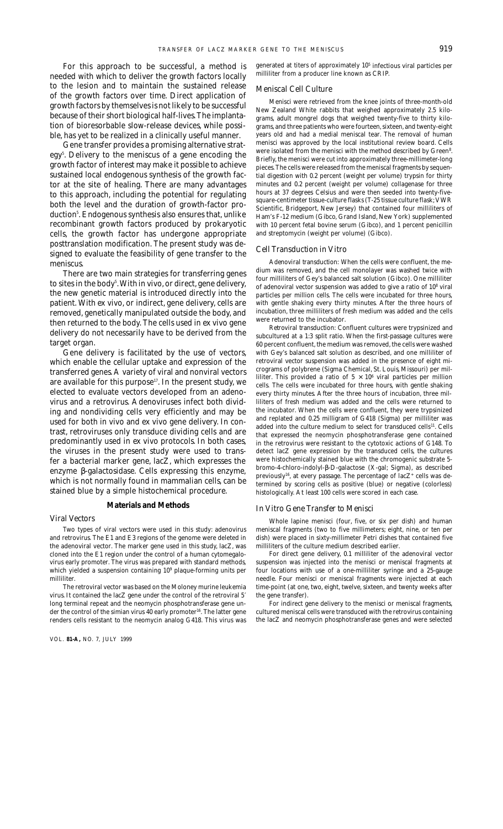For this approach to be successful, a method is needed with which to deliver the growth factors locally to the lesion and to maintain the sustained release of the growth factors over time. Direct application of growth factors by themselves is not likely to be successful because of their short biological half-lives. The implantation of bioresorbable slow-release devices, while possible, has yet to be realized in a clinically useful manner.

Gene transfer provides a promising alternative strategy<sup>5</sup>. Delivery to the meniscus of a gene encoding the growth factor of interest may make it possible to achieve sustained local endogenous synthesis of the growth factor at the site of healing. There are many advantages to this approach, including the potential for regulating both the level and the duration of growth-factor production<sup>s</sup>. Endogenous synthesis also ensures that, unlike recombinant growth factors produced by prokaryotic cells, the growth factor has undergone appropriate posttranslation modification. The present study was designed to evaluate the feasibility of gene transfer to the meniscus.

There are two main strategies for transferring genes to sites in the body<sup>5</sup>. With *in vivo*, or direct, gene delivery, the new genetic material is introduced directly into the patient. With *ex vivo*, or indirect, gene delivery, cells are removed, genetically manipulated outside the body, and then returned to the body. The cells used in *ex vivo* gene delivery do not necessarily have to be derived from the target organ.

Gene delivery is facilitated by the use of vectors, which enable the cellular uptake and expression of the transferred genes. A variety of viral and nonviral vectors are available for this purpose<sup>17</sup>. In the present study, we elected to evaluate vectors developed from an adenovirus and a retrovirus. Adenoviruses infect both dividing and nondividing cells very efficiently and may be used for both *in vivo* and *ex vivo* gene delivery. In contrast, retroviruses only transduce dividing cells and are predominantly used in *ex vivo* protocols. In both cases, the viruses in the present study were used to transfer a bacterial marker gene, lacZ, which expresses the enzyme β-galactosidase. Cells expressing this enzyme, which is not normally found in mammalian cells, can be stained blue by a simple histochemical procedure.

#### **Materials and Methods**

#### *Viral Vectors*

Two types of viral vectors were used in this study: adenovirus and retrovirus. The E1 and E3 regions of the genome were deleted in the adenoviral vector. The marker gene used in this study, lacZ, was cloned into the E1 region under the control of a human cytomegalovirus early promoter. The virus was prepared with standard methods, which yielded a suspension containing 10<sup>9</sup> plaque-forming units per milliliter.

The retroviral vector was based on the Moloney murine leukemia virus. It contained the lacZ gene under the control of the retroviral 5′ long terminal repeat and the neomycin phosphotransferase gene under the control of the simian virus 40 early promoter<sup>16</sup>. The latter gene renders cells resistant to the neomycin analog G418. This virus was

VOL. **81-A,** NO. 7, JULY 1999

generated at titers of approximately 105 infectious viral particles per milliliter from a producer line known as CRIP.

#### *Meniscal Cell Culture*

Menisci were retrieved from the knee joints of three-month-old New Zealand White rabbits that weighed approximately 2.5 kilograms, adult mongrel dogs that weighed twenty-five to thirty kilograms, and three patients who were fourteen, sixteen, and twenty-eight years old and had a medial meniscal tear. The removal of human menisci was approved by the local institutional review board. Cells were isolated from the menisci with the method described by Green<sup>8</sup>. Briefly, the menisci were cut into approximately three-millimeter-long pieces. The cells were released from the meniscal fragments by sequential digestion with 0.2 percent (weight per volume) trypsin for thirty minutes and 0.2 percent (weight per volume) collagenase for three hours at 37 degrees Celsius and were then seeded into twenty-fivesquare-centimeter tissue-culture flasks (T-25 tissue culture flask; VWR Scientific, Bridgeport, New Jersey) that contained four milliliters of Ham's F-12 medium (Gibco, Grand Island, New York) supplemented with 10 percent fetal bovine serum (Gibco), and 1 percent penicillin and streptomycin (weight per volume) (Gibco).

#### *Cell Transduction* in Vitro

*Adenoviral transduction:* When the cells were confluent, the medium was removed, and the cell monolayer was washed twice with four milliliters of Gey's balanced salt solution (Gibco). One milliliter of adenoviral vector suspension was added to give a ratio of 10<sup>8</sup> viral particles per million cells. The cells were incubated for three hours, with gentle shaking every thirty minutes. After the three hours of incubation, three milliliters of fresh medium was added and the cells were returned to the incubator.

*Retroviral transduction:* Confluent cultures were trypsinized and subcultured at a 1:3 split ratio. When the first-passage cultures were 60 percent confluent, the medium was removed, the cells were washed with Gey's balanced salt solution as described, and one milliliter of retroviral vector suspension was added in the presence of eight micrograms of polybrene (Sigma Chemical, St. Louis, Missouri) per milliliter. This provided a ratio of  $5 \times 10^6$  viral particles per million cells. The cells were incubated for three hours, with gentle shaking every thirty minutes. After the three hours of incubation, three milliliters of fresh medium was added and the cells were returned to the incubator. When the cells were confluent, they were trypsinized and replated and 0.25 milligram of G418 (Sigma) per milliliter was added into the culture medium to select for transduced cells<sup>11</sup>. Cells that expressed the neomycin phosphotransferase gene contained in the retrovirus were resistant to the cytotoxic actions of G148. To detect lacZ gene expression by the transduced cells, the cultures were histochemically stained blue with the chromogenic substrate 5 bromo-4-chloro-indolyl-β-D-galactose (X-gal; Sigma), as described previously<sup>16</sup>, at every passage. The percentage of lac $Z^+$  cells was determined by scoring cells as positive (blue) or negative (colorless) histologically. At least 100 cells were scored in each case.

#### In Vitro *Gene Transfer to Menisci*

Whole lapine menisci (four, five, or six per dish) and human meniscal fragments (two to five millimeters; eight, nine, or ten per dish) were placed in sixty-millimeter Petri dishes that contained five milliliters of the culture medium described earlier.

For direct gene delivery, 0.1 milliliter of the adenoviral vector suspension was injected into the menisci or meniscal fragments at four locations with use of a one-milliliter syringe and a 25-gauge needle. Four menisci or meniscal fragments were injected at each time-point (at one, two, eight, twelve, sixteen, and twenty weeks after the gene transfer).

For indirect gene delivery to the menisci or meniscal fragments, cultured meniscal cells were transduced with the retrovirus containing the lacZ and neomycin phosphotransferase genes and were selected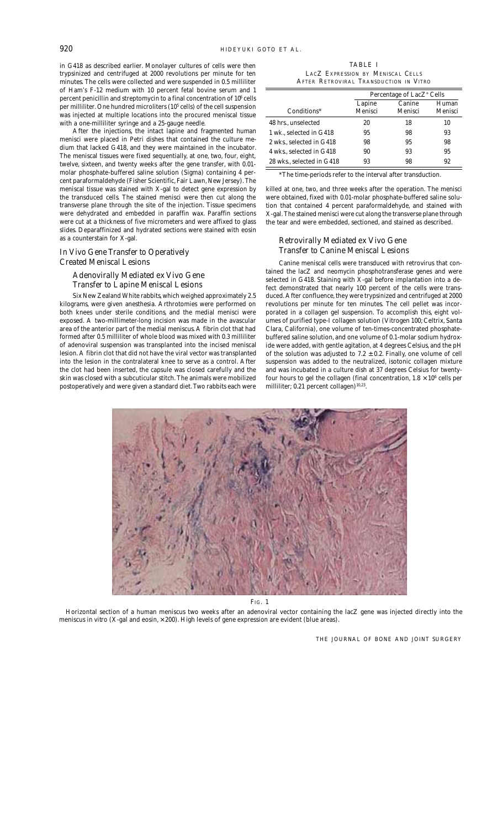in G418 as described earlier. Monolayer cultures of cells were then trypsinized and centrifuged at 2000 revolutions per minute for ten minutes. The cells were collected and were suspended in 0.5 milliliter of Ham's F-12 medium with 10 percent fetal bovine serum and 1 percent penicillin and streptomycin to a final concentration of  $10^{\rm 6}$  cells per milliliter. One hundred microliters (10<sup>5</sup> cells) of the cell suspension was injected at multiple locations into the procured meniscal tissue with a one-milliliter syringe and a 25-gauge needle.

After the injections, the intact lapine and fragmented human menisci were placed in Petri dishes that contained the culture medium that lacked G418, and they were maintained in the incubator. The meniscal tissues were fixed sequentially, at one, two, four, eight, twelve, sixteen, and twenty weeks after the gene transfer, with 0.01 molar phosphate-buffered saline solution (Sigma) containing 4 percent paraformaldehyde (Fisher Scientific, Fair Lawn, New Jersey). The meniscal tissue was stained with X-gal to detect gene expression by the transduced cells. The stained menisci were then cut along the transverse plane through the site of the injection. Tissue specimens were dehydrated and embedded in paraffin wax. Paraffin sections were cut at a thickness of five micrometers and were affixed to glass slides. Deparaffinized and hydrated sections were stained with eosin as a counterstain for X-gal.

#### In Vivo *Gene Transfer to Operatively Created Meniscal Lesions*

*Adenovirally Mediated* ex Vivo *Gene Transfer to Lapine Meniscal Lesions*

Six New Zealand White rabbits, which weighed approximately 2.5 kilograms, were given anesthesia. Arthrotomies were performed on both knees under sterile conditions, and the medial menisci were exposed. A two-millimeter-long incision was made in the avascular area of the anterior part of the medial meniscus. A fibrin clot that had formed after 0.5 milliliter of whole blood was mixed with 0.3 milliliter of adenoviral suspension was transplanted into the incised meniscal lesion. A fibrin clot that did not have the viral vector was transplanted into the lesion in the contralateral knee to serve as a control. After the clot had been inserted, the capsule was closed carefully and the skin was closed with a subcuticular stitch. The animals were mobilized postoperatively and were given a standard diet. Two rabbits each were

TABLE I LACZ EXPRESSION BY MENISCAL CELLS AFTER RETROVIRAL TRANSDUCTION *IN VITRO*

| Conditions*               | Percentage of LacZ <sup>+</sup> Cells |                   |                  |
|---------------------------|---------------------------------------|-------------------|------------------|
|                           | Lapine<br>Menisci                     | Canine<br>Menisci | Human<br>Menisci |
| 48 hrs., unselected       | 20                                    | 18                | 10               |
| 1 wk., selected in G418   | 95                                    | 98                | 93               |
| 2 wks., selected in G418  | 98                                    | 95                | 98               |
| 4 wks., selected in G418  | 90                                    | 93                | 95               |
| 28 wks., selected in G418 | 93                                    | 98                | 92               |

\*The time-periods refer to the interval after transduction.

killed at one, two, and three weeks after the operation. The menisci were obtained, fixed with 0.01-molar phosphate-buffered saline solution that contained 4 percent paraformaldehyde, and stained with X-gal. The stained menisci were cut along the transverse plane through the tear and were embedded, sectioned, and stained as described.

#### *Retrovirally Mediated* ex Vivo *Gene Transfer to Canine Meniscal Lesions*

Canine meniscal cells were transduced with retrovirus that contained the lacZ and neomycin phosphotransferase genes and were selected in G418. Staining with X-gal before implantation into a defect demonstrated that nearly 100 percent of the cells were transduced. After confluence, they were trypsinized and centrifuged at 2000 revolutions per minute for ten minutes. The cell pellet was incorporated in a collagen gel suspension. To accomplish this, eight volumes of purified type-I collagen solution (Vitrogen 100; Celtrix, Santa Clara, California), one volume of ten-times-concentrated phosphatebuffered saline solution, and one volume of 0.1-molar sodium hydroxide were added, with gentle agitation, at 4 degrees Celsius, and the pH of the solution was adjusted to  $7.2 \pm 0.2$ . Finally, one volume of cell suspension was added to the neutralized, isotonic collagen mixture and was incubated in a culture dish at 37 degrees Celsius for twentyfour hours to gel the collagen (final concentration, 1.8  $\times$  10 $^6$  cells per milliliter; 0.21 percent collagen)<sup>10,23</sup>.



FIG. 1

Horizontal section of a human meniscus two weeks after an adenoviral vector containing the lacZ gene was injected directly into the meniscus *in vitro* (X-gal and eosin, × 200). High levels of gene expression are evident (blue areas).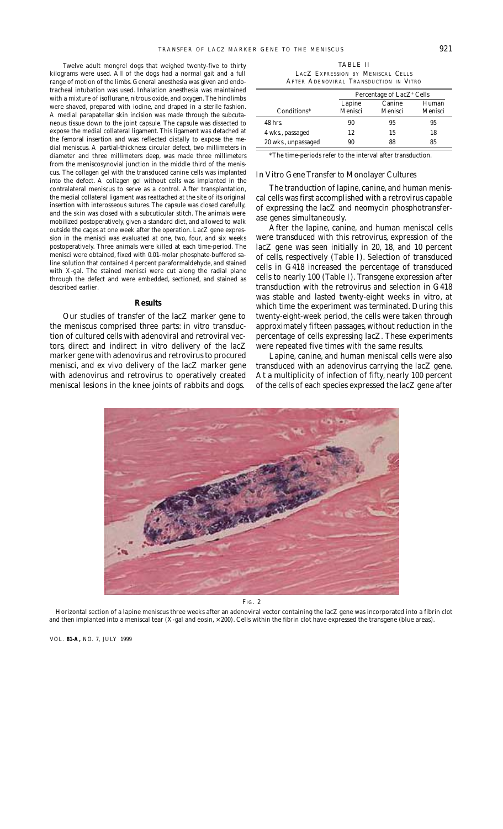Twelve adult mongrel dogs that weighed twenty-five to thirty kilograms were used. All of the dogs had a normal gait and a full range of motion of the limbs. General anesthesia was given and endotracheal intubation was used. Inhalation anesthesia was maintained with a mixture of isoflurane, nitrous oxide, and oxygen. The hindlimbs were shaved, prepared with iodine, and draped in a sterile fashion. A medial parapatellar skin incision was made through the subcutaneous tissue down to the joint capsule. The capsule was dissected to expose the medial collateral ligament. This ligament was detached at the femoral insertion and was reflected distally to expose the medial meniscus. A partial-thickness circular defect, two millimeters in diameter and three millimeters deep, was made three millimeters from the meniscosynovial junction in the middle third of the meniscus. The collagen gel with the transduced canine cells was implanted into the defect. A collagen gel without cells was implanted in the contralateral meniscus to serve as a control. After transplantation, the medial collateral ligament was reattached at the site of its original insertion with interosseous sutures. The capsule was closed carefully, and the skin was closed with a subcuticular stitch. The animals were mobilized postoperatively, given a standard diet, and allowed to walk outside the cages at one week after the operation. LacZ gene expression in the menisci was evaluated at one, two, four, and six weeks postoperatively. Three animals were killed at each time-period. The menisci were obtained, fixed with 0.01-molar phosphate-buffered saline solution that contained 4 percent paraformaldehyde, and stained with X-gal. The stained menisci were cut along the radial plane through the defect and were embedded, sectioned, and stained as described earlier.

#### **Results**

Our studies of transfer of the lacZ marker gene to the meniscus comprised three parts: *in vitro* transduction of cultured cells with adenoviral and retroviral vectors, direct and indirect *in vitro* delivery of the lacZ marker gene with adenovirus and retrovirus to procured menisci, and *ex vivo* delivery of the lacZ marker gene with adenovirus and retrovirus to operatively created meniscal lesions in the knee joints of rabbits and dogs.

TABLE II LACZ EXPRESSION BY MENISCAL CELLS AFTER ADENOVIRAL TRANSDUCTION *IN VITRO*

|                     | Percentage of LacZ <sup>+</sup> Cells |                   |                  |  |
|---------------------|---------------------------------------|-------------------|------------------|--|
| Conditions*         | Lapine<br>Menisci                     | Canine<br>Menisci | Human<br>Menisci |  |
| 48 hrs.             | 90                                    | 95                | 95               |  |
| 4 wks., passaged    | 12                                    | 15                | 18               |  |
| 20 wks., unpassaged | 90                                    | 88                | 85               |  |

\*The time-periods refer to the interval after transduction.

#### In Vitro *Gene Transfer to Monolayer Cultures*

The tranduction of lapine, canine, and human meniscal cells was first accomplished with a retrovirus capable of expressing the lacZ and neomycin phosphotransferase genes simultaneously.

After the lapine, canine, and human meniscal cells were transduced with this retrovirus, expression of the lacZ gene was seen initially in 20, 18, and 10 percent of cells, respectively (Table I). Selection of transduced cells in G418 increased the percentage of transduced cells to nearly 100 (Table I). Transgene expression after transduction with the retrovirus and selection in G418 was stable and lasted twenty-eight weeks *in vitro*, at which time the experiment was terminated. During this twenty-eight-week period, the cells were taken through approximately fifteen passages, without reduction in the percentage of cells expressing lacZ. These experiments were repeated five times with the same results.

Lapine, canine, and human meniscal cells were also transduced with an adenovirus carrying the lacZ gene. At a multiplicity of infection of fifty, nearly 100 percent of the cells of each species expressed the lacZ gene after



FIG. 2

Horizontal section of a lapine meniscus three weeks after an adenoviral vector containing the lacZ gene was incorporated into a fibrin clot and then implanted into a meniscal tear (X-gal and eosin, × 200). Cells within the fibrin clot have expressed the transgene (blue areas).

VOL. **81-A,** NO. 7, JULY 1999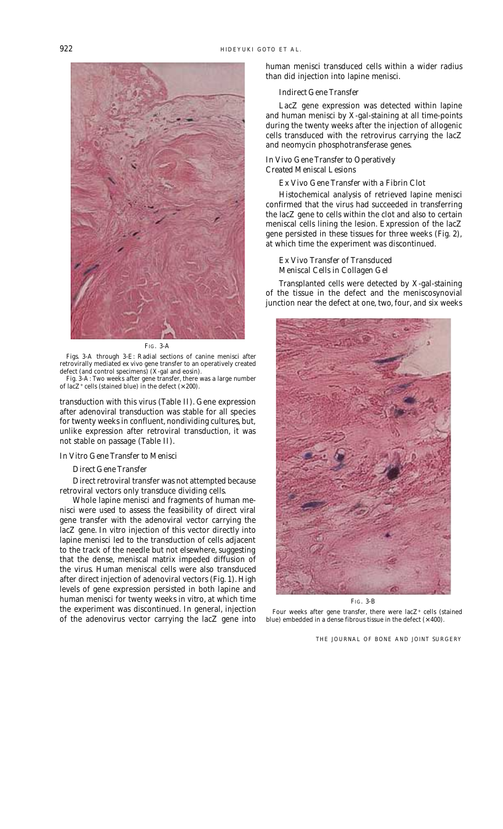

FIG. 3-A

Figs. 3-A through 3-E: Radial sections of canine menisci after retrovirally mediated *ex vivo* gene transfer to an operatively created defect (and control specimens) (X-gal and eosin).

Fig. 3-A: Two weeks after gene transfer, there was a large number of lacZ<sup>+</sup> cells (stained blue) in the defect  $(\times 200)$ .

transduction with this virus (Table II). Gene expression after adenoviral transduction was stable for all species for twenty weeks in confluent, nondividing cultures, but, unlike expression after retroviral transduction, it was not stable on passage (Table II).

#### In Vitro *Gene Transfer to Menisci*

#### *Direct Gene Transfer*

Direct retroviral transfer was not attempted because retroviral vectors only transduce dividing cells.

Whole lapine menisci and fragments of human menisci were used to assess the feasibility of direct viral gene transfer with the adenoviral vector carrying the lacZ gene. *In vitro* injection of this vector directly into lapine menisci led to the transduction of cells adjacent to the track of the needle but not elsewhere, suggesting that the dense, meniscal matrix impeded diffusion of the virus. Human meniscal cells were also transduced after direct injection of adenoviral vectors (Fig. 1). High levels of gene expression persisted in both lapine and human menisci for twenty weeks *in vitro*, at which time the experiment was discontinued. In general, injection of the adenovirus vector carrying the lacZ gene into

human menisci transduced cells within a wider radius than did injection into lapine menisci.

#### *Indirect Gene Transfer*

LacZ gene expression was detected within lapine and human menisci by X-gal-staining at all time-points during the twenty weeks after the injection of allogenic cells transduced with the retrovirus carrying the lacZ and neomycin phosphotransferase genes.

#### In Vivo *Gene Transfer to Operatively Created Meniscal Lesions*

#### Ex Vivo *Gene Transfer with a Fibrin Clot*

Histochemical analysis of retrieved lapine menisci confirmed that the virus had succeeded in transferring the lacZ gene to cells within the clot and also to certain meniscal cells lining the lesion. Expression of the lacZ gene persisted in these tissues for three weeks (Fig. 2), at which time the experiment was discontinued.

#### Ex Vivo *Transfer of Transduced Meniscal Cells in Collagen Gel*

Transplanted cells were detected by X-gal-staining of the tissue in the defect and the meniscosynovial junction near the defect at one, two, four, and six weeks



FIG. 3-B

Four weeks after gene transfer, there were  $lacZ^+$  cells (stained blue) embedded in a dense fibrous tissue in the defect  $(\times\,400).$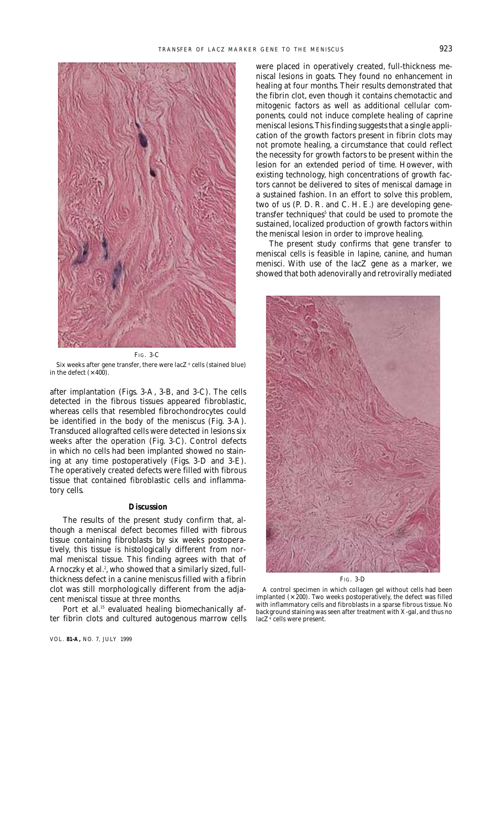

FIG. 3-C

Six weeks after gene transfer, there were lac $Z^+$  cells (stained blue) in the defect  $(\times 400)$ .

after implantation (Figs. 3-A, 3-B, and 3-C). The cells detected in the fibrous tissues appeared fibroblastic, whereas cells that resembled fibrochondrocytes could be identified in the body of the meniscus (Fig. 3-A). Transduced allografted cells were detected in lesions six weeks after the operation (Fig. 3-C). Control defects in which no cells had been implanted showed no staining at any time postoperatively (Figs. 3-D and 3-E). The operatively created defects were filled with fibrous tissue that contained fibroblastic cells and inflammatory cells.

#### **Discussion**

The results of the present study confirm that, although a meniscal defect becomes filled with fibrous tissue containing fibroblasts by six weeks postoperatively, this tissue is histologically different from normal meniscal tissue. This finding agrees with that of Arnoczky et al.<sup>2</sup>, who showed that a similarly sized, fullthickness defect in a canine meniscus filled with a fibrin clot was still morphologically different from the adjacent meniscal tissue at three months.

Port et al.<sup>15</sup> evaluated healing biomechanically after fibrin clots and cultured autogenous marrow cells

VOL. **81-A,** NO. 7, JULY 1999

were placed in operatively created, full-thickness meniscal lesions in goats. They found no enhancement in healing at four months. Their results demonstrated that the fibrin clot, even though it contains chemotactic and mitogenic factors as well as additional cellular components, could not induce complete healing of caprine meniscal lesions. This finding suggests that a single application of the growth factors present in fibrin clots may not promote healing, a circumstance that could reflect the necessity for growth factors to be present within the lesion for an extended period of time. However, with existing technology, high concentrations of growth factors cannot be delivered to sites of meniscal damage in a sustained fashion. In an effort to solve this problem, two of us (P. D. R. and C. H. E.) are developing genetransfer techniques<sup>5</sup> that could be used to promote the sustained, localized production of growth factors within the meniscal lesion in order to improve healing.

The present study confirms that gene transfer to meniscal cells is feasible in lapine, canine, and human menisci. With use of the lacZ gene as a marker, we showed that both adenovirally and retrovirally mediated



A control specimen in which collagen gel without cells had been implanted  $(x 200)$ . Two weeks postoperatively, the defect was filled with inflammatory cells and fibroblasts in a sparse fibrous tissue. No background staining was seen after treatment with X-gal, and thus no lacZ+ cells were present.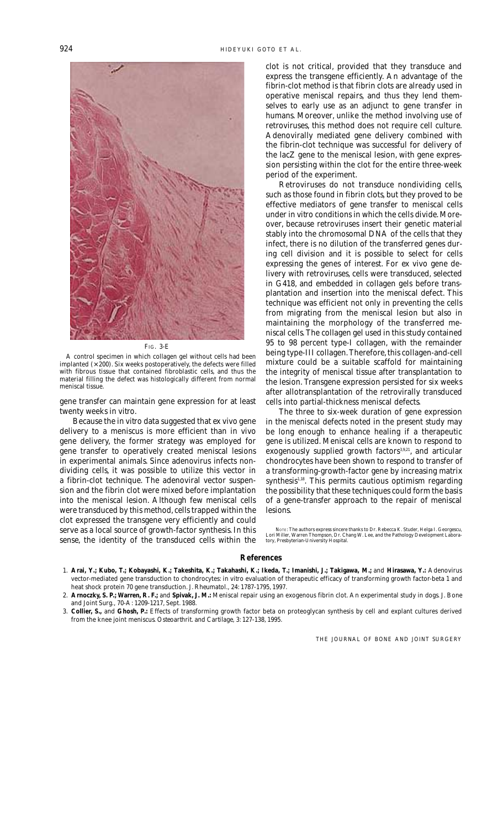

FIG. 3-E

A control specimen in which collagen gel without cells had been implanted  $(\times 200)$ . Six weeks postoperatively, the defects were filled with fibrous tissue that contained fibroblastic cells, and thus the material filling the defect was histologically different from normal meniscal tissue.

gene transfer can maintain gene expression for at least twenty weeks *in vitro*.

Because the *in vitro* data suggested that *ex vivo* gene delivery to a meniscus is more efficient than *in vivo* gene delivery, the former strategy was employed for gene transfer to operatively created meniscal lesions in experimental animals. Since adenovirus infects nondividing cells, it was possible to utilize this vector in a fibrin-clot technique. The adenoviral vector suspension and the fibrin clot were mixed before implantation into the meniscal lesion. Although few meniscal cells were transduced by this method, cells trapped within the clot expressed the transgene very efficiently and could serve as a local source of growth-factor synthesis. In this sense, the identity of the transduced cells within the

clot is not critical, provided that they transduce and express the transgene efficiently. An advantage of the fibrin-clot method is that fibrin clots are already used in operative meniscal repairs, and thus they lend themselves to early use as an adjunct to gene transfer in humans. Moreover, unlike the method involving use of retroviruses, this method does not require cell culture. Adenovirally mediated gene delivery combined with the fibrin-clot technique was successful for delivery of the lacZ gene to the meniscal lesion, with gene expression persisting within the clot for the entire three-week period of the experiment.

Retroviruses do not transduce nondividing cells, such as those found in fibrin clots, but they proved to be effective mediators of gene transfer to meniscal cells under *in vitro* conditions in which the cells divide. Moreover, because retroviruses insert their genetic material stably into the chromosomal DNA of the cells that they infect, there is no dilution of the transferred genes during cell division and it is possible to select for cells expressing the genes of interest. For *ex vivo* gene delivery with retroviruses, cells were transduced, selected in G418, and embedded in collagen gels before transplantation and insertion into the meniscal defect. This technique was efficient not only in preventing the cells from migrating from the meniscal lesion but also in maintaining the morphology of the transferred meniscal cells. The collagen gel used in this study contained 95 to 98 percent type-I collagen, with the remainder being type-III collagen. Therefore, this collagen-and-cell mixture could be a suitable scaffold for maintaining the integrity of meniscal tissue after transplantation to the lesion. Transgene expression persisted for six weeks after allotransplantation of the retrovirally transduced cells into partial-thickness meniscal defects.

The three to six-week duration of gene expression in the meniscal defects noted in the present study may be long enough to enhance healing if a therapeutic gene is utilized. Meniscal cells are known to respond to exogenously supplied growth factors<sup>3,9,21</sup>, and articular chondrocytes have been shown to respond to transfer of a transforming-growth-factor gene by increasing matrix synthesis $1,18$ . This permits cautious optimism regarding the possibility that these techniques could form the basis of a gene-transfer approach to the repair of meniscal lesions.

NOTE: The authors express sincere thanks to Dr. Rebecca K. Studer, Helga I. Georgescu, Lori Miller, Warren Thompson, Dr. Chang W. Lee, and the Pathology Development Laboratory, Presbyterian-University Hospital.

#### **References**

- 1. **Arai, Y.; Kubo, T.; Kobayashi, K.; Takeshita, K.; Takahashi, K.; Ikeda, T.; Imanishi, J.; Takigawa, M.;** and **Hirasawa, Y.:** Adenovirus vector-mediated gene transduction to chondrocytes: *in vitro* evaluation of therapeutic efficacy of transforming growth factor-beta 1 and heat shock protein 70 gene transduction. *J. Rheumatol.,* 24: 1787-1795, 1997.
- 2. **Arnoczky, S. P.; Warren, R. F.;** and **Spivak, J. M.:** Meniscal repair using an exogenous fibrin clot. An experimental study in dogs. *J. Bone and Joint Surg.,* 70-A: 1209-1217, Sept. 1988.

 3. **Collier, S.,** and **Ghosh, P.:** Effects of transforming growth factor beta on proteoglycan synthesis by cell and explant cultures derived from the knee joint meniscus. *Osteoarthrit. and Cartilage,* 3: 127-138, 1995.